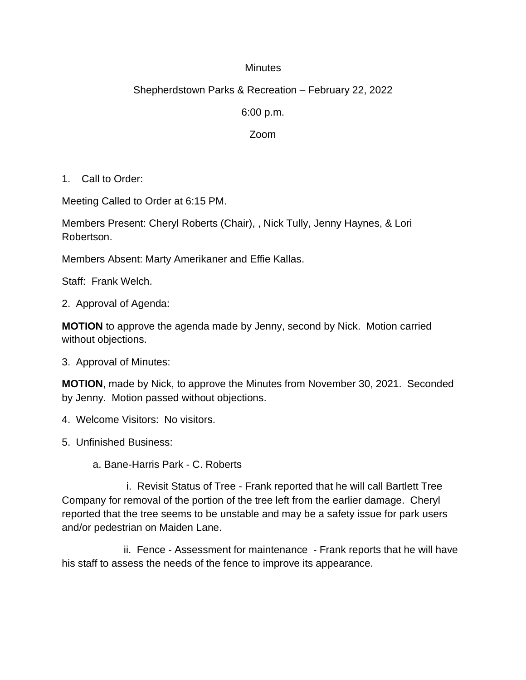## **Minutes**

## Shepherdstown Parks & Recreation – February 22, 2022

6:00 p.m.

## Zoom

1. Call to Order:

Meeting Called to Order at 6:15 PM.

Members Present: Cheryl Roberts (Chair), , Nick Tully, Jenny Haynes, & Lori Robertson.

Members Absent: Marty Amerikaner and Effie Kallas.

Staff: Frank Welch.

2. Approval of Agenda:

**MOTION** to approve the agenda made by Jenny, second by Nick. Motion carried without objections.

3. Approval of Minutes:

**MOTION**, made by Nick, to approve the Minutes from November 30, 2021. Seconded by Jenny. Motion passed without objections.

- 4. Welcome Visitors: No visitors.
- 5. Unfinished Business:

a. Bane-Harris Park - C. Roberts

 i. Revisit Status of Tree - Frank reported that he will call Bartlett Tree Company for removal of the portion of the tree left from the earlier damage. Cheryl reported that the tree seems to be unstable and may be a safety issue for park users and/or pedestrian on Maiden Lane.

ii. Fence - Assessment for maintenance - Frank reports that he will have his staff to assess the needs of the fence to improve its appearance.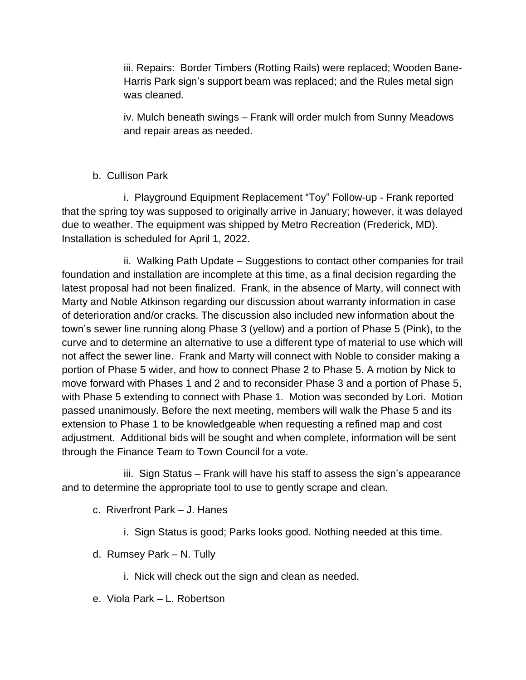iii. Repairs: Border Timbers (Rotting Rails) were replaced; Wooden Bane-Harris Park sign's support beam was replaced; and the Rules metal sign was cleaned.

iv. Mulch beneath swings – Frank will order mulch from Sunny Meadows and repair areas as needed.

## b. Cullison Park

 i. Playground Equipment Replacement "Toy" Follow-up - Frank reported that the spring toy was supposed to originally arrive in January; however, it was delayed due to weather. The equipment was shipped by Metro Recreation (Frederick, MD). Installation is scheduled for April 1, 2022.

ii. Walking Path Update – Suggestions to contact other companies for trail foundation and installation are incomplete at this time, as a final decision regarding the latest proposal had not been finalized. Frank, in the absence of Marty, will connect with Marty and Noble Atkinson regarding our discussion about warranty information in case of deterioration and/or cracks. The discussion also included new information about the town's sewer line running along Phase 3 (yellow) and a portion of Phase 5 (Pink), to the curve and to determine an alternative to use a different type of material to use which will not affect the sewer line. Frank and Marty will connect with Noble to consider making a portion of Phase 5 wider, and how to connect Phase 2 to Phase 5. A motion by Nick to move forward with Phases 1 and 2 and to reconsider Phase 3 and a portion of Phase 5, with Phase 5 extending to connect with Phase 1. Motion was seconded by Lori. Motion passed unanimously. Before the next meeting, members will walk the Phase 5 and its extension to Phase 1 to be knowledgeable when requesting a refined map and cost adjustment. Additional bids will be sought and when complete, information will be sent through the Finance Team to Town Council for a vote.

iii. Sign Status – Frank will have his staff to assess the sign's appearance and to determine the appropriate tool to use to gently scrape and clean.

- c. Riverfront Park J. Hanes
	- i. Sign Status is good; Parks looks good. Nothing needed at this time.
- d. Rumsey Park N. Tully
	- i. Nick will check out the sign and clean as needed.
- e. Viola Park L. Robertson